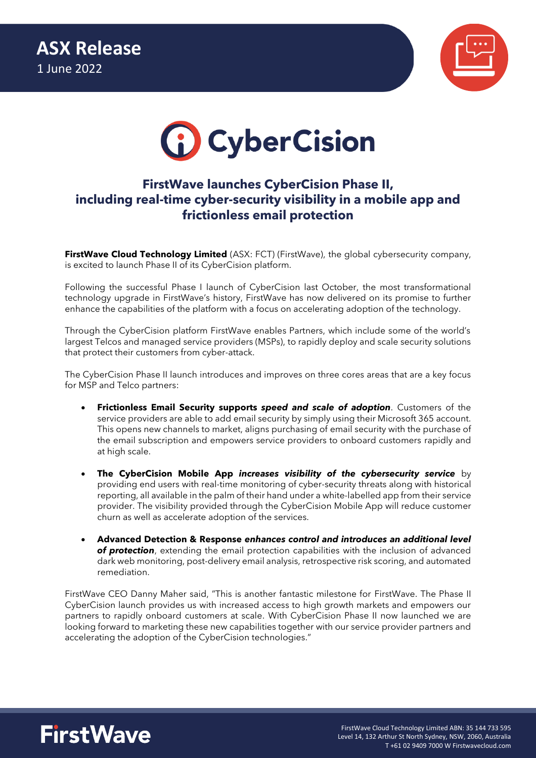



# **FirstWave launches CyberCision Phase II, including real-time cyber-security visibility in a mobile app and frictionless email protection**

**FirstWave Cloud Technology Limited** (ASX: FCT) (FirstWave), the global cybersecurity company, is excited to launch Phase II of its CyberCision platform.

Following the successful Phase I launch of CyberCision last October, the most transformational technology upgrade in FirstWave's history, FirstWave has now delivered on its promise to further enhance the capabilities of the platform with a focus on accelerating adoption of the technology.

Through the CyberCision platform FirstWave enables Partners, which include some of the world's largest Telcos and managed service providers (MSPs), to rapidly deploy and scale security solutions that protect their customers from cyber-attack.

The CyberCision Phase II launch introduces and improves on three cores areas that are a key focus for MSP and Telco partners:

- **Frictionless Email Security supports** *speed and scale of adoption*. Customers of the service providers are able to add email security by simply using their Microsoft 365 account. This opens new channels to market, aligns purchasing of email security with the purchase of the email subscription and empowers service providers to onboard customers rapidly and at high scale.
- **The CyberCision Mobile App** *increases visibility of the cybersecurity service* by providing end users with real-time monitoring of cyber-security threats along with historical reporting, all available in the palm of their hand under a white-labelled app from their service provider. The visibility provided through the CyberCision Mobile App will reduce customer churn as well as accelerate adoption of the services.
- **Advanced Detection & Response** *enhances control and introduces an additional level of protection*, extending the email protection capabilities with the inclusion of advanced dark web monitoring, post-delivery email analysis, retrospective risk scoring, and automated remediation.

FirstWave CEO Danny Maher said, "This is another fantastic milestone for FirstWave. The Phase II CyberCision launch provides us with increased access to high growth markets and empowers our partners to rapidly onboard customers at scale. With CyberCision Phase II now launched we are looking forward to marketing these new capabilities together with our service provider partners and accelerating the adoption of the CyberCision technologies."